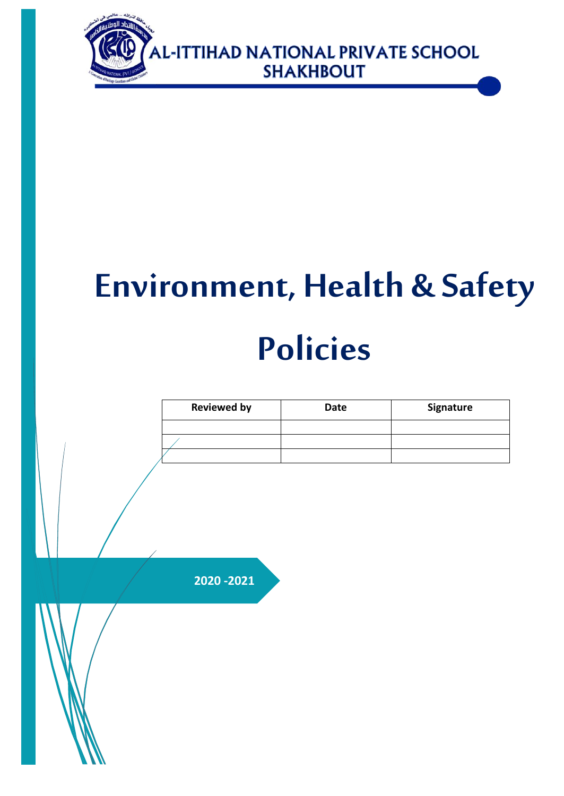

# **Environment, Health & Safety Policies**

| <b>Reviewed by</b> | Date | Signature |
|--------------------|------|-----------|
|                    |      |           |
|                    |      |           |
|                    |      |           |
|                    |      |           |
|                    |      |           |
|                    |      |           |
| 2020 - 2021        |      |           |
|                    |      |           |
|                    |      |           |
|                    |      |           |
|                    |      |           |
|                    |      |           |
|                    |      |           |
|                    |      |           |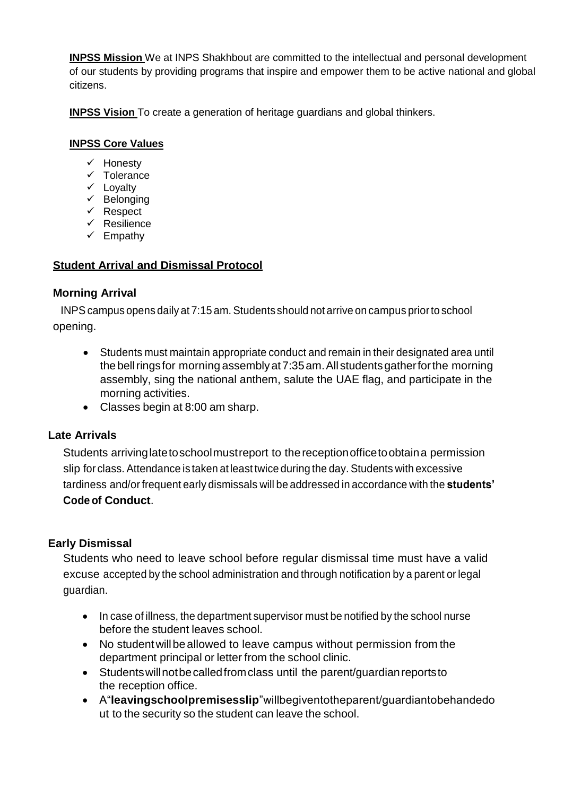**INPSS Mission** We at INPS Shakhbout are committed to the intellectual and personal development of our students by providing programs that inspire and empower them to be active national and global citizens.

**INPSS Vision** To create a generation of heritage guardians and global thinkers.

## **INPSS Core Values**

- $\checkmark$  Honesty
- $\times$  Tolerance
- $\checkmark$  Loyalty
- $\checkmark$  Belonging
- $\checkmark$  Respect
- $\checkmark$  Resilience
- $\checkmark$  Empathy

# **Student Arrival and Dismissal Protocol**

## **Morning Arrival**

INPS campus opens daily at 7:15 am. Students should not arrive on campus prior to school opening.

- Students must maintain appropriate conduct and remain in their designated area until the bell rings for morning assembly at 7:35 am. All students gather for the morning assembly, sing the national anthem, salute the UAE flag, and participate in the morning activities.
- Classes begin at 8:00 am sharp.

## **Late Arrivals**

Students arrivinglatetoschoolmustreport to thereceptionofficetoobtaina permission slip for class. Attendance is taken at least twice during the day. Students with excessive tardiness and/orfrequent early dismissals will be addressed in accordance with the **students' Code of Conduct**.

## **Early Dismissal**

Students who need to leave school before regular dismissal time must have a valid excuse accepted by the school administration and through notification by a parent or legal guardian.

- In case of illness, the department supervisor must be notified by the school nurse before the student leaves school.
- No student will be allowed to leave campus without permission from the department principal or letter from the school clinic.
- Students will not be called from class until the parent/guardian reports to the reception office.
- A"**leavingschoolpremisesslip**"willbegiventotheparent/guardiantobehandedo ut to the security so the student can leave the school.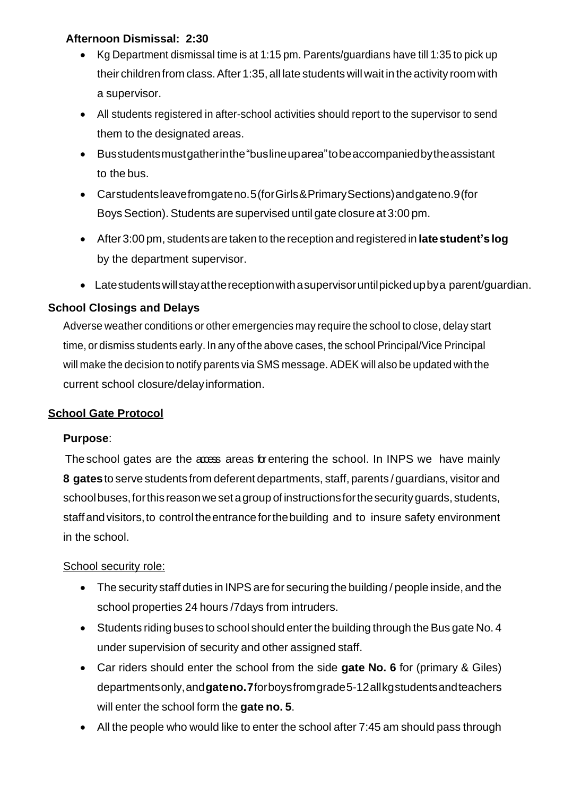## **Afternoon Dismissal: 2:30**

- Kg Department dismissal time is at 1:15 pm. Parents/guardians have till 1:35 to pick up their children from class. After 1:35, all late students will wait in the activity room with a supervisor.
- All students registered in after-school activities should report to the supervisor to send them to the designated areas.
- Busstudentsmustgatherinthe"buslineuparea"tobeaccompaniedbytheassistant to the bus.
- Carstudentsleavefromgateno.5(forGirls&PrimarySections)andgateno.9(for BoysSection).Students are supervised until gate closure at 3:00 pm.
- After3:00 pm, studentsare taken to the reception and registered in **latestudent'slog** by the department supervisor.
- Latestudentswillstayatthereceptionwithasupervisoruntilpickedupbya parent/guardian.

# **School Closings and Delays**

Adverse weather conditions or other emergencies may require the school to close, delay start time, or dismiss students early. In any of the above cases, the school Principal/Vice Principal will make the decision to notify parents via SMS message. ADEK will also be updated with the current school closure/delayinformation.

## **School Gate Protocol**

## **Purpose**:

The school gates are the access areas for entering the school. In INPS we have mainly **8 gates**to serve students from deferent departments, staff, parents /guardians, visitor and school buses, for this reason we set a group of instructions for the security guards, students, staffandvisitors,to control theentranceforthebuilding and to insure safety environment in the school.

## School security role:

- The security staff duties in INPS are for securing the building / people inside, and the school properties 24 hours /7days from intruders.
- Students riding buses to school should enter the building through the Bus gate No. 4 under supervision of security and other assigned staff.
- Car riders should enter the school from the side **gate No. 6** for (primary & Giles) departmentsonly,and**gateno.7**forboysfromgrade5-12allkgstudentsandteachers will enter the school form the **gate no. 5**.
- All the people who would like to enter the school after 7:45 am should pass through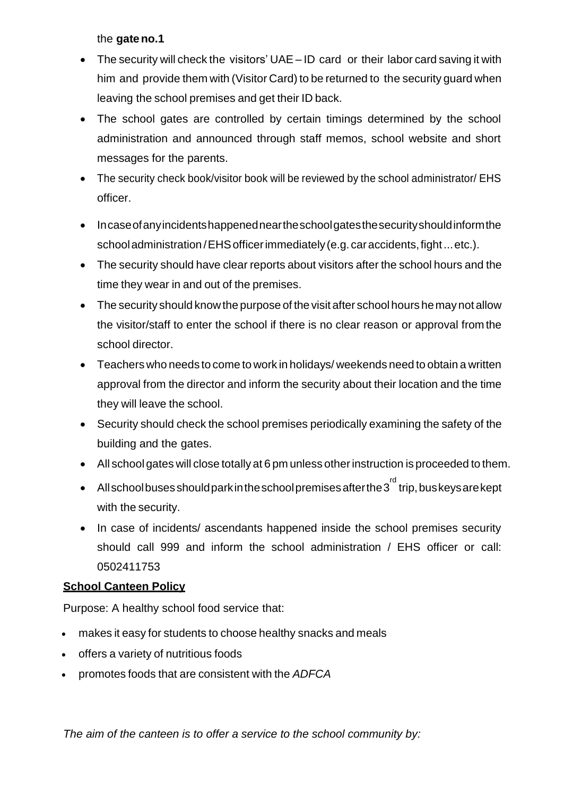the **gateno.1**

- The security will check the visitors' UAE ID card or their labor card saving it with him and provide them with (Visitor Card) to be returned to the security guard when leaving the school premises and get their ID back.
- The school gates are controlled by certain timings determined by the school administration and announced through staff memos, school website and short messages for the parents.
- The security check book/visitor book will be reviewed by the school administrator/ EHS officer.
- Incase of any incidents happened nearthes chool gates the security should inform the schooladministration /EHSofficerimmediately (e.g. caraccidents,fight...etc.).
- The security should have clear reports about visitors after the school hours and the time they wear in and out of the premises.
- The security should know the purpose of the visit after school hours he may not allow the visitor/staff to enter the school if there is no clear reason or approval from the school director.
- Teachers who needs to come to work in holidays/ weekends need to obtain a written approval from the director and inform the security about their location and the time they will leave the school.
- Security should check the school premises periodically examining the safety of the building and the gates.
- All school gates will close totally at 6 pm unless otherinstruction is proceeded to them.
- All school buses should park in the school premises after the 3 $^{\sf rd}$  trip, bus keys are kept with the security.
- In case of incidents/ ascendants happened inside the school premises security should call 999 and inform the school administration / EHS officer or call: 0502411753

# **School Canteen Policy**

Purpose: A healthy school food service that:

- makes it easy for students to choose healthy snacks and meals
- offers a variety of nutritious foods
- promotes foods that are consistent with the *ADFCA*

*The aim of the canteen is to offer a service to the school community by:*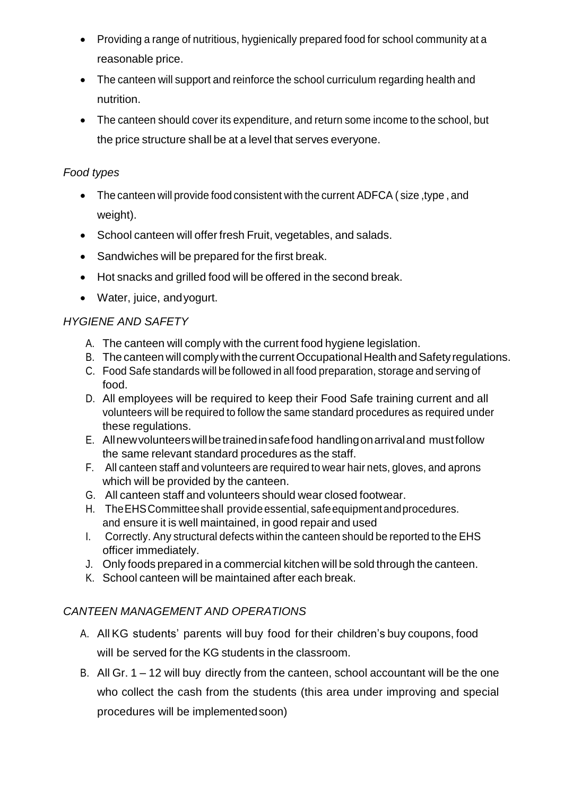- Providing a range of nutritious, hygienically prepared food for school community at a reasonable price.
- The canteen will support and reinforce the school curriculum regarding health and nutrition.
- The canteen should cover its expenditure, and return some income to the school, but the price structure shall be at a level that serves everyone.

# *Food types*

- The canteen will provide food consistent with the current ADFCA ( size ,type , and weight).
- School canteen will offer fresh Fruit, vegetables, and salads.
- Sandwiches will be prepared for the first break.
- Hot snacks and grilled food will be offered in the second break.
- Water, juice, andyogurt.

# *HYGIENE AND SAFETY*

- A. The canteen will comply with the current food hygiene legislation.
- B. The canteen will comply with the current Occupational Health and Safety regulations.
- C. Food Safe standards will be followed in all food preparation, storage and serving of food.
- D. All employees will be required to keep their Food Safe training current and all volunteers will be required to follow the same standard procedures as required under these regulations.
- E. Allnewvolunteerswillbetrainedinsafefood handlingonarrivaland mustfollow the same relevant standard procedures as the staff.
- F. All canteen staff and volunteers are required to wear hair nets, gloves, and aprons which will be provided by the canteen.
- G. All canteen staff and volunteers should wear closed footwear.
- H. TheEHSCommitteeshall provideessential, safeequipmentandprocedures. and ensure it is well maintained, in good repair and used
- I. Correctly. Any structural defects within the canteen should be reported to the EHS officer immediately.
- J. Only foods prepared in a commercial kitchen will be sold through the canteen.
- K. School canteen will be maintained after each break.

# *CANTEEN MANAGEMENT AND OPERATIONS*

- A. All KG students' parents will buy food for their children's buy coupons, food will be served for the KG students in the classroom.
- B. All Gr. 1 12 will buy directly from the canteen, school accountant will be the one who collect the cash from the students (this area under improving and special procedures will be implemented soon)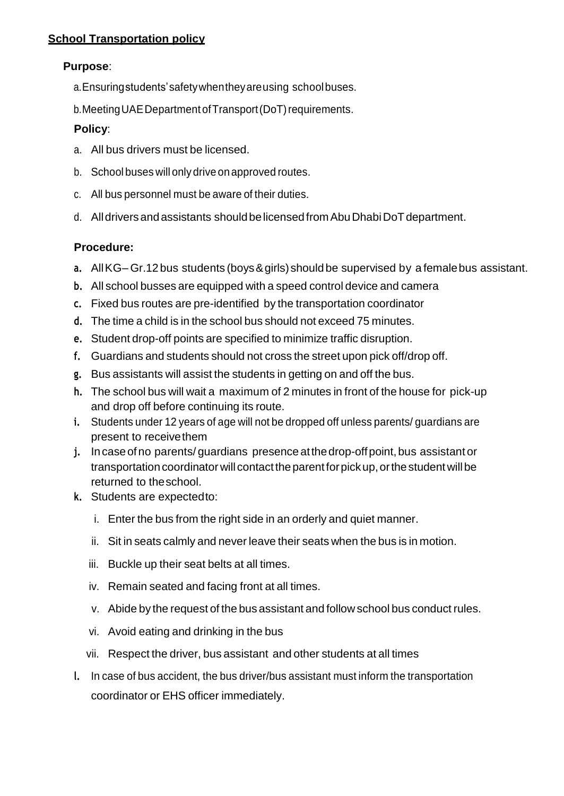## **Purpose**:

- a.Ensuringstudents'safetywhentheyareusing schoolbuses.
- b. Meeting UAE Department of Transport (DoT) requirements.

## **Policy**:

- a. All bus drivers must be licensed.
- b. School buses will only drive on approved routes.
- c. All bus personnel must be aware of their duties.
- d. All drivers and assistants should be licensed from Abu Dhabi DoT department.

## **Procedure:**

- **a.** AllKG– Gr.12bus students (boys&girls) shouldbe supervised by a femalebus assistant.
- **b.** All school busses are equipped with a speed control device and camera
- **c.** Fixed bus routes are pre-identified by the transportation coordinator
- **d.** The time a child is in the school bus should not exceed 75 minutes.
- **e.** Student drop-off points are specified to minimize traffic disruption.
- **f.** Guardians and students should not cross the street upon pick off/drop off.
- **g.** Bus assistants will assist the students in getting on and off the bus.
- **h.** The school bus will wait a maximum of 2 minutes in front of the house for pick-up and drop off before continuing its route.
- **i.** Students under 12 years of age will not be dropped off unless parents/ guardians are present to receivethem
- **j.** Incaseofno parents/ guardians presence atthedrop-offpoint,bus assistant or transportation coordinator will contact the parent for pick up, or the student will be returned to theschool.
- **k.** Students are expectedto:
	- i. Enter the bus from the right side in an orderly and quiet manner.
	- ii. Sit in seats calmly and never leave their seats when the bus is in motion.
	- iii. Buckle up their seat belts at all times.
	- iv. Remain seated and facing front at all times.
	- v. Abide by the request of the bus assistant and follow school bus conduct rules.
	- vi. Avoid eating and drinking in the bus
	- vii. Respect the driver, bus assistant and other students at all times
- **l.** In case of bus accident, the bus driver/bus assistant must inform the transportation coordinator or EHS officer immediately.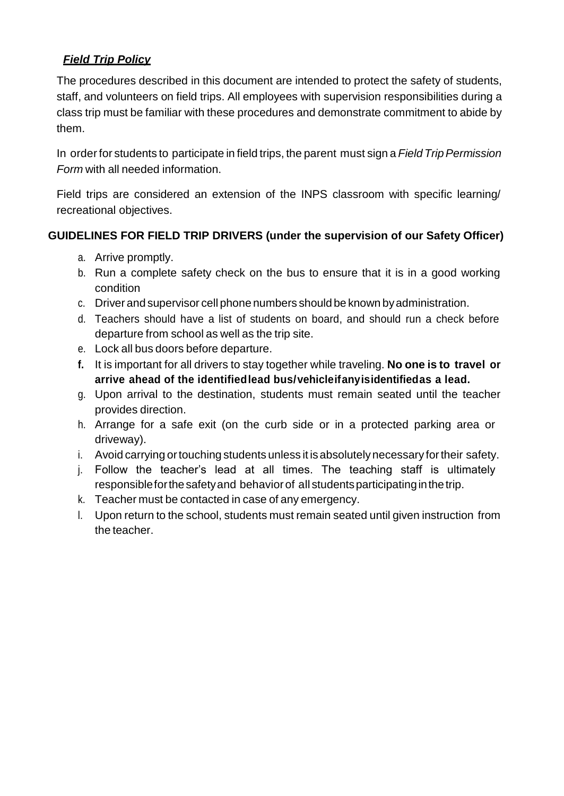# *Field Trip Policy*

The procedures described in this document are intended to protect the safety of students, staff, and volunteers on field trips. All employees with supervision responsibilities during a class trip must be familiar with these procedures and demonstrate commitment to abide by them.

In order for students to participate in field trips, the parent must sign a *Field Trip Permission Form* with all needed information.

Field trips are considered an extension of the INPS classroom with specific learning/ recreational objectives.

# **GUIDELINES FOR FIELD TRIP DRIVERS (under the supervision of our Safety Officer)**

- a. Arrive promptly.
- b. Run a complete safety check on the bus to ensure that it is in a good working condition
- c. Driver and supervisor cell phone numbers should be known byadministration.
- d. Teachers should have a list of students on board, and should run a check before departure from school as well as the trip site.
- e. Lock all bus doors before departure.
- **f.** It is important for all drivers to stay together while traveling. **No one is to travel or arrive ahead of the identifiedlead bus/vehicleifanyisidentifiedas a lead.**
- g. Upon arrival to the destination, students must remain seated until the teacher provides direction.
- h. Arrange for a safe exit (on the curb side or in a protected parking area or driveway).
- i. Avoid carrying ortouching students unless it is absolutely necessary fortheir safety.
- j. Follow the teacher's lead at all times. The teaching staff is ultimately responsibleforthesafetyand behaviorof all studentsparticipatinginthetrip.
- k. Teacher must be contacted in case of any emergency.
- l. Upon return to the school, students must remain seated until given instruction from the teacher.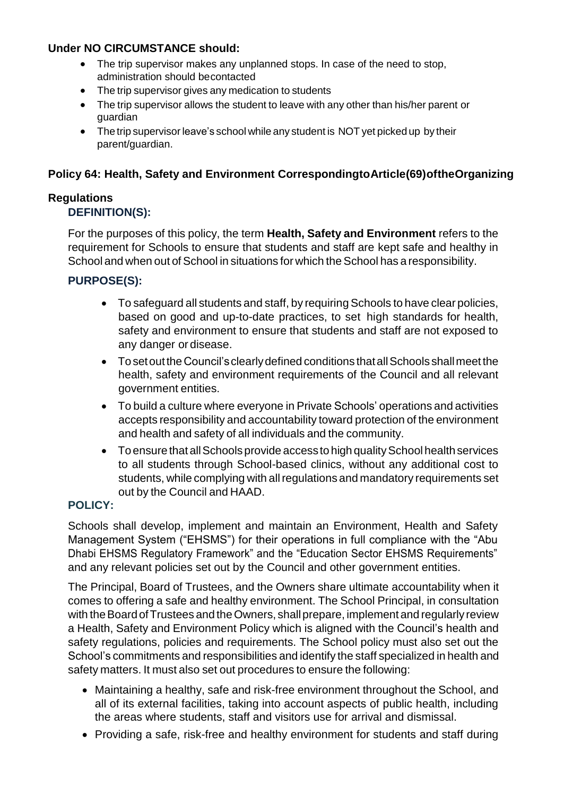# **Under NO CIRCUMSTANCE should:**

- The trip supervisor makes any unplanned stops. In case of the need to stop, administration should becontacted
- The trip supervisor gives any medication to students
- The trip supervisor allows the student to leave with any other than his/her parent or guardian
- The trip supervisor leave's school while any student is NOT yet picked up by their parent/guardian.

# **Policy 64: Health, Safety and Environment CorrespondingtoArticle(69)oftheOrganizing**

## **Regulations DEFINITION(S):**

# For the purposes of this policy, the term **Health, Safety and Environment** refers to the requirement for Schools to ensure that students and staff are kept safe and healthy in School and when out of School in situations for which the School has a responsibility.

# **PURPOSE(S):**

- To safeguard all students and staff, by requiring Schools to have clear policies, based on good and up-to-date practices, to set high standards for health, safety and environment to ensure that students and staff are not exposed to any danger or disease.
- Tosetoutthe Council'sclearlydefined conditions thatallSchools shallmeet the health, safety and environment requirements of the Council and all relevant government entities.
- To build a culture where everyone in Private Schools' operations and activities accepts responsibility and accountability toward protection of the environment and health and safety of all individuals and the community.
- $\bullet$  To ensure that all Schools provide access to high quality School health services to all students through School-based clinics, without any additional cost to students, while complying with allregulations and mandatory requirements set out by the Council and HAAD.

## **POLICY:**

Schools shall develop, implement and maintain an Environment, Health and Safety Management System ("EHSMS") for their operations in full compliance with the "Abu Dhabi EHSMS Regulatory Framework" and the "Education Sector EHSMS Requirements" and any relevant policies set out by the Council and other government entities.

The Principal, Board of Trustees, and the Owners share ultimate accountability when it comes to offering a safe and healthy environment. The School Principal, in consultation with the Board of Trustees and the Owners, shall prepare, implement and regularly review a Health, Safety and Environment Policy which is aligned with the Council's health and safety regulations, policies and requirements. The School policy must also set out the School's commitments and responsibilities and identify the staff specialized in health and safety matters. It must also set out procedures to ensure the following:

- Maintaining a healthy, safe and risk-free environment throughout the School, and all of its external facilities, taking into account aspects of public health, including the areas where students, staff and visitors use for arrival and dismissal.
- Providing a safe, risk-free and healthy environment for students and staff during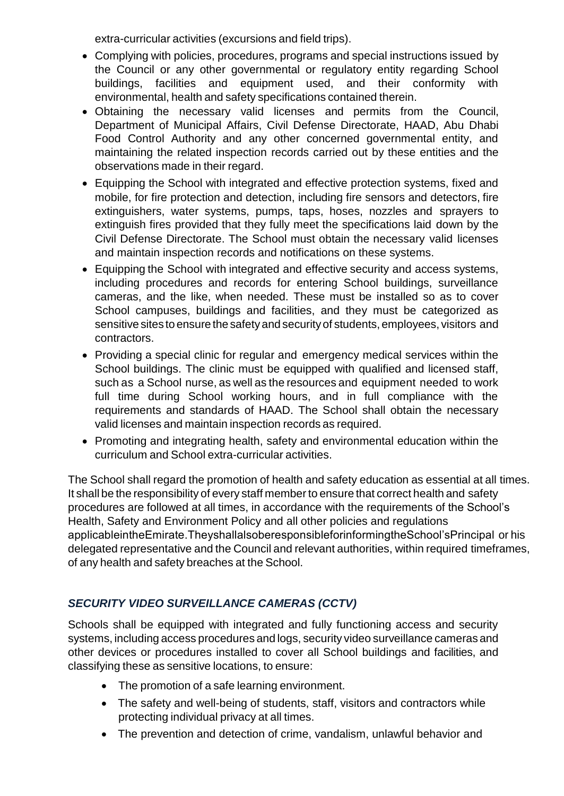extra-curricular activities (excursions and field trips).

- Complying with policies, procedures, programs and special instructions issued by the Council or any other governmental or regulatory entity regarding School buildings, facilities and equipment used, and their conformity with environmental, health and safety specifications contained therein.
- Obtaining the necessary valid licenses and permits from the Council, Department of Municipal Affairs, Civil Defense Directorate, HAAD, Abu Dhabi Food Control Authority and any other concerned governmental entity, and maintaining the related inspection records carried out by these entities and the observations made in their regard.
- Equipping the School with integrated and effective protection systems, fixed and mobile, for fire protection and detection, including fire sensors and detectors, fire extinguishers, water systems, pumps, taps, hoses, nozzles and sprayers to extinguish fires provided that they fully meet the specifications laid down by the Civil Defense Directorate. The School must obtain the necessary valid licenses and maintain inspection records and notifications on these systems.
- Equipping the School with integrated and effective security and access systems, including procedures and records for entering School buildings, surveillance cameras, and the like, when needed. These must be installed so as to cover School campuses, buildings and facilities, and they must be categorized as sensitive sites to ensure the safety and security of students, employees, visitors and contractors.
- Providing a special clinic for regular and emergency medical services within the School buildings. The clinic must be equipped with qualified and licensed staff, such as a School nurse, as well as the resources and equipment needed to work full time during School working hours, and in full compliance with the requirements and standards of HAAD. The School shall obtain the necessary valid licenses and maintain inspection records as required.
- Promoting and integrating health, safety and environmental education within the curriculum and School extra-curricular activities.

The School shall regard the promotion of health and safety education as essential at all times. It shall be the responsibility of every staff memberto ensure that correct health and safety procedures are followed at all times, in accordance with the requirements of the School's Health, Safety and Environment Policy and all other policies and regulations applicableintheEmirate.TheyshallalsoberesponsibleforinformingtheSchool'sPrincipal or his delegated representative and the Council and relevant authorities, within required timeframes, of any health and safety breaches at the School.

# *SECURITY VIDEO SURVEILLANCE CAMERAS (CCTV)*

Schools shall be equipped with integrated and fully functioning access and security systems, including access procedures and logs, security video surveillance cameras and other devices or procedures installed to cover all School buildings and facilities, and classifying these as sensitive locations, to ensure:

- The promotion of a safe learning environment.
- The safety and well-being of students, staff, visitors and contractors while protecting individual privacy at all times.
- The prevention and detection of crime, vandalism, unlawful behavior and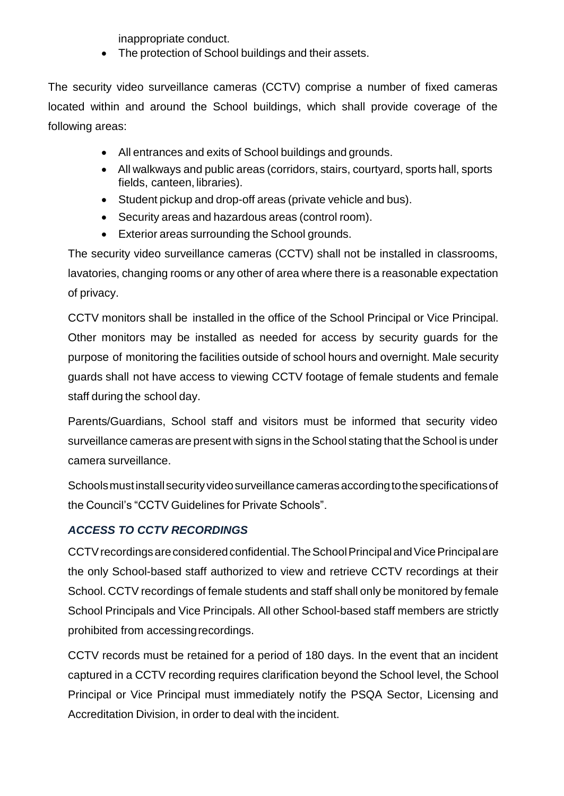inappropriate conduct.

• The protection of School buildings and their assets.

The security video surveillance cameras (CCTV) comprise a number of fixed cameras located within and around the School buildings, which shall provide coverage of the following areas:

- All entrances and exits of School buildings and grounds.
- All walkways and public areas (corridors, stairs, courtyard, sports hall, sports fields, canteen, libraries).
- Student pickup and drop-off areas (private vehicle and bus).
- Security areas and hazardous areas (control room).
- Exterior areas surrounding the School grounds.

The security video surveillance cameras (CCTV) shall not be installed in classrooms, lavatories, changing rooms or any other of area where there is a reasonable expectation of privacy.

CCTV monitors shall be installed in the office of the School Principal or Vice Principal. Other monitors may be installed as needed for access by security guards for the purpose of monitoring the facilities outside of school hours and overnight. Male security guards shall not have access to viewing CCTV footage of female students and female staff during the school day.

Parents/Guardians, School staff and visitors must be informed that security video surveillance cameras are present with signs in the School stating that the School is under camera surveillance.

Schools must install security video surveillance cameras according to the specifications of the Council's "CCTV Guidelines for Private Schools".

# *ACCESS TO CCTV RECORDINGS*

CCTV recordings are considered confidential. The School Principal and Vice Principal are the only School-based staff authorized to view and retrieve CCTV recordings at their School. CCTV recordings of female students and staff shall only be monitored by female School Principals and Vice Principals. All other School-based staff members are strictly prohibited from accessingrecordings.

CCTV records must be retained for a period of 180 days. In the event that an incident captured in a CCTV recording requires clarification beyond the School level, the School Principal or Vice Principal must immediately notify the PSQA Sector, Licensing and Accreditation Division, in order to deal with the incident.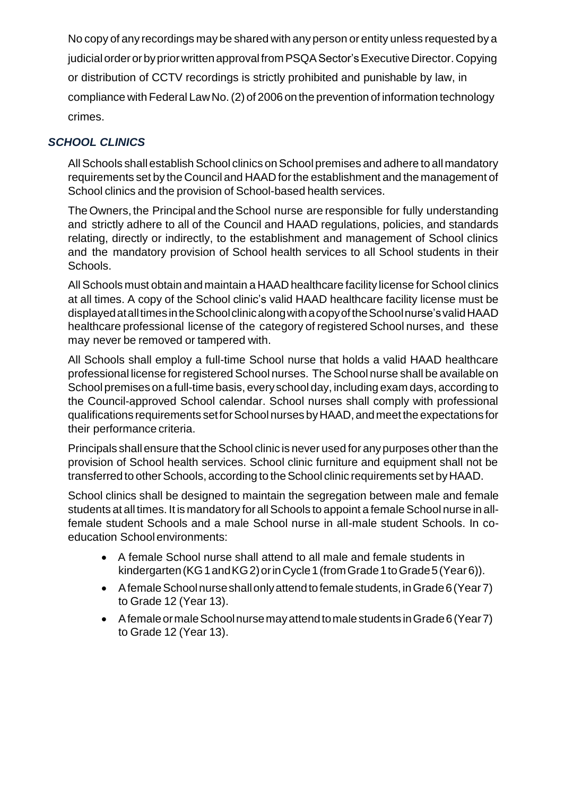No copy of any recordings may be shared with any person or entity unless requested by a judicial order or by prior written approval from PSQA Sector's Executive Director. Copying or distribution of CCTV recordings is strictly prohibited and punishable by law, in compliance with Federal LawNo.(2) of 2006 on the prevention of information technology crimes.

# *SCHOOL CLINICS*

All Schools shall establish School clinics on School premises and adhere to all mandatory requirements set by the Council and HAAD forthe establishment and the management of School clinics and the provision of School-based health services.

The Owners, the Principal and the School nurse are responsible for fully understanding and strictly adhere to all of the Council and HAAD regulations, policies, and standards relating, directly or indirectly, to the establishment and management of School clinics and the mandatory provision of School health services to all School students in their Schools.

All Schools must obtain and maintain a HAAD healthcare facility license for School clinics at all times. A copy of the School clinic's valid HAAD healthcare facility license must be displayedatalltimesintheSchoolclinicalongwithacopyoftheSchoolnurse'svalidHAAD healthcare professional license of the category of registered School nurses, and these may never be removed or tampered with.

All Schools shall employ a full-time School nurse that holds a valid HAAD healthcare professional license for registered School nurses. The School nurse shall be available on School premises on a full-time basis, every school day, including exam days, according to the Council-approved School calendar. School nurses shall comply with professional qualifications requirements setforSchool nurses byHAAD,andmeetthe expectations for their performance criteria.

Principals shall ensure that the School clinic is never used for any purposes other than the provision of School health services. School clinic furniture and equipment shall not be transferred to other Schools, according to the School clinic requirements set by HAAD.

School clinics shall be designed to maintain the segregation between male and female students at all times. It is mandatory for all Schools to appoint a female School nurse in allfemale student Schools and a male School nurse in all-male student Schools. In coeducation School environments:

- A female School nurse shall attend to all male and female students in kindergarten (KG1 and KG2) or in Cycle 1 (from Grade 1 to Grade 5 (Year 6)).
- AfemaleSchoolnurseshallonlyattendtofemalestudents,inGrade6(Year7) to Grade 12 (Year 13).
- AfemaleormaleSchoolnursemayattendtomalestudents inGrade6(Year7) to Grade 12 (Year 13).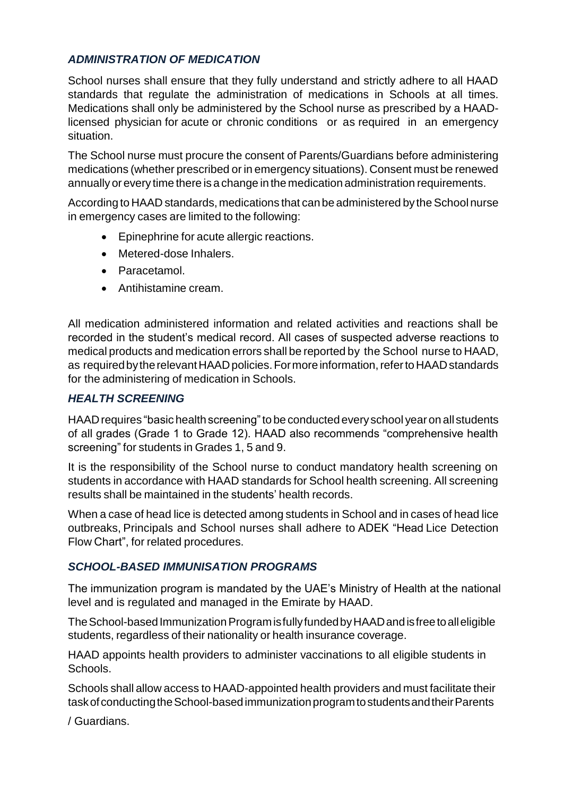## *ADMINISTRATION OF MEDICATION*

School nurses shall ensure that they fully understand and strictly adhere to all HAAD standards that regulate the administration of medications in Schools at all times. Medications shall only be administered by the School nurse as prescribed by a HAADlicensed physician for acute or chronic conditions or as required in an emergency situation.

The School nurse must procure the consent of Parents/Guardians before administering medications (whether prescribed or in emergency situations). Consent must be renewed annually orevery time there is a change in the medication administration requirements.

According to HAAD standards, medications that can be administered by the School nurse in emergency cases are limited to the following:

- Epinephrine for acute allergic reactions.
- Metered-dose Inhalers.
- Paracetamol.
- Antihistamine cream.

All medication administered information and related activities and reactions shall be recorded in the student's medical record. All cases of suspected adverse reactions to medical products and medication errors shall be reported by the School nurse to HAAD, as required by the relevant HAAD policies. For more information, refer to HAAD standards for the administering of medication in Schools.

## *HEALTH SCREENING*

HAAD requires "basic health screening" to be conducted every school year on all students of all grades (Grade 1 to Grade 12). HAAD also recommends "comprehensive health screening" for students in Grades 1, 5 and 9.

It is the responsibility of the School nurse to conduct mandatory health screening on students in accordance with HAAD standards for School health screening. All screening results shall be maintained in the students' health records.

When a case of head lice is detected among students in School and in cases of head lice outbreaks, Principals and School nurses shall adhere to ADEK "Head Lice Detection Flow Chart", for related procedures.

## *SCHOOL-BASED IMMUNISATION PROGRAMS*

The immunization program is mandated by the UAE's Ministry of Health at the national level and is regulated and managed in the Emirate by HAAD.

The School-based Immunization Program is fully funded by HAAD and is free to all eligible students, regardless of their nationality or health insurance coverage.

HAAD appoints health providers to administer vaccinations to all eligible students in Schools.

Schools shall allow access to HAAD-appointed health providers and must facilitate their task of conducting the School-based immunization program to students and their Parents

/ Guardians.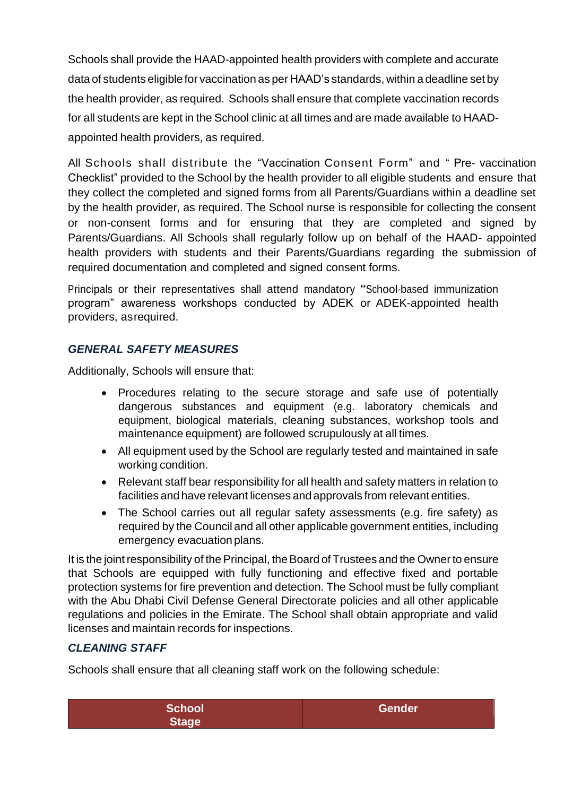Schools shall provide the HAAD-appointed health providers with complete and accurate data of students eligiblefor vaccination as per HAAD's standards, within a deadline set by the health provider, as required. Schools shall ensure that complete vaccination records for all students are kept in the School clinic at all times and are made available to HAADappointed health providers, as required.

All Schools shall distribute the "Vaccination Consent Form" and " Pre- vaccination Checklist" provided to the School by the health provider to all eligible students and ensure that they collect the completed and signed forms from all Parents/Guardians within a deadline set by the health provider, as required. The School nurse is responsible for collecting the consent or non-consent forms and for ensuring that they are completed and signed by Parents/Guardians. All Schools shall regularly follow up on behalf of the HAAD- appointed health providers with students and their Parents/Guardians regarding the submission of required documentation and completed and signed consent forms.

Principals or their representatives shall attend mandatory "School-based immunization program" awareness workshops conducted by ADEK or ADEK-appointed health providers, asrequired.

# *GENERAL SAFETY MEASURES*

Additionally, Schools will ensure that:

- Procedures relating to the secure storage and safe use of potentially dangerous substances and equipment (e.g. laboratory chemicals and equipment, biological materials, cleaning substances, workshop tools and maintenance equipment) are followed scrupulously at all times.
- All equipment used by the School are regularly tested and maintained in safe working condition.
- Relevant staff bear responsibility for all health and safety matters in relation to facilities and have relevant licenses and approvals from relevant entities.
- The School carries out all regular safety assessments (e.g. fire safety) as required by the Council and all other applicable government entities, including emergency evacuation plans.

It is the joint responsibility of the Principal, the Board of Trustees and the Owner to ensure that Schools are equipped with fully functioning and effective fixed and portable protection systems for fire prevention and detection. The School must be fully compliant with the Abu Dhabi Civil Defense General Directorate policies and all other applicable regulations and policies in the Emirate. The School shall obtain appropriate and valid licenses and maintain records for inspections.

## *CLEANING STAFF*

Schools shall ensure that all cleaning staff work on the following schedule:

| <b>School</b> | Gender |
|---------------|--------|
| Stage         |        |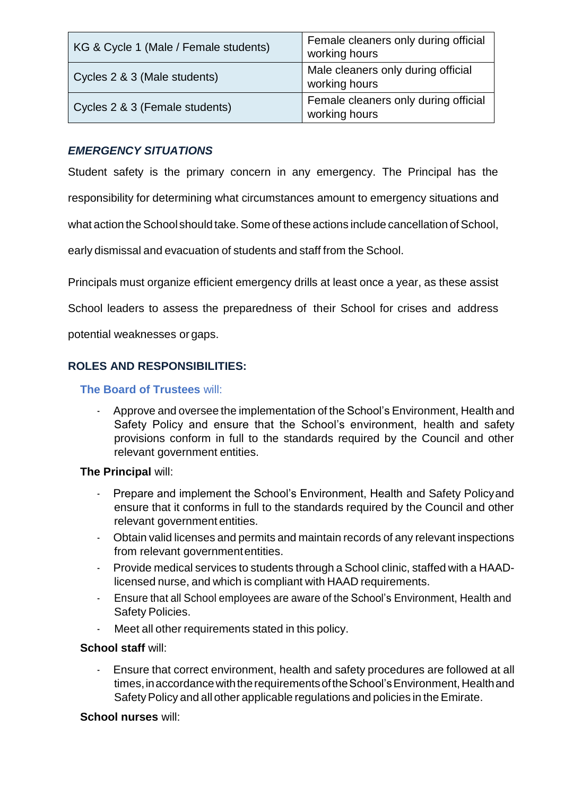| KG & Cycle 1 (Male / Female students) | Female cleaners only during official<br>working hours |  |
|---------------------------------------|-------------------------------------------------------|--|
| Cycles 2 & 3 (Male students)          | Male cleaners only during official<br>working hours   |  |
| Cycles 2 & 3 (Female students)        | Female cleaners only during official<br>working hours |  |

## *EMERGENCY SITUATIONS*

Student safety is the primary concern in any emergency. The Principal has the

responsibility for determining what circumstances amount to emergency situations and

what action the School should take. Some of these actions include cancellation of School,

early dismissal and evacuation of students and staff from the School.

Principals must organize efficient emergency drills at least once a year, as these assist

School leaders to assess the preparedness of their School for crises and address

potential weaknesses or gaps.

## **ROLES AND RESPONSIBILITIES:**

### **The Board of Trustees** will:

- Approve and oversee the implementation of the School's Environment, Health and Safety Policy and ensure that the School's environment, health and safety provisions conform in full to the standards required by the Council and other relevant government entities.

#### **The Principal** will:

- Prepare and implement the School's Environment, Health and Safety Policyand ensure that it conforms in full to the standards required by the Council and other relevant government entities.
- Obtain valid licenses and permits and maintain records of any relevant inspections from relevant government entities.
- Provide medical services to students through a School clinic, staffed with a HAADlicensed nurse, and which is compliant with HAAD requirements.
- Ensure that all School employees are aware of the School's Environment, Health and Safety Policies.
- Meet all other requirements stated in this policy.

#### **School staff** will:

Ensure that correct environment, health and safety procedures are followed at all times, in accordance with the requirements of the School's Environment, Health and Safety Policy and all other applicable regulations and policies in the Emirate.

#### **School nurses** will: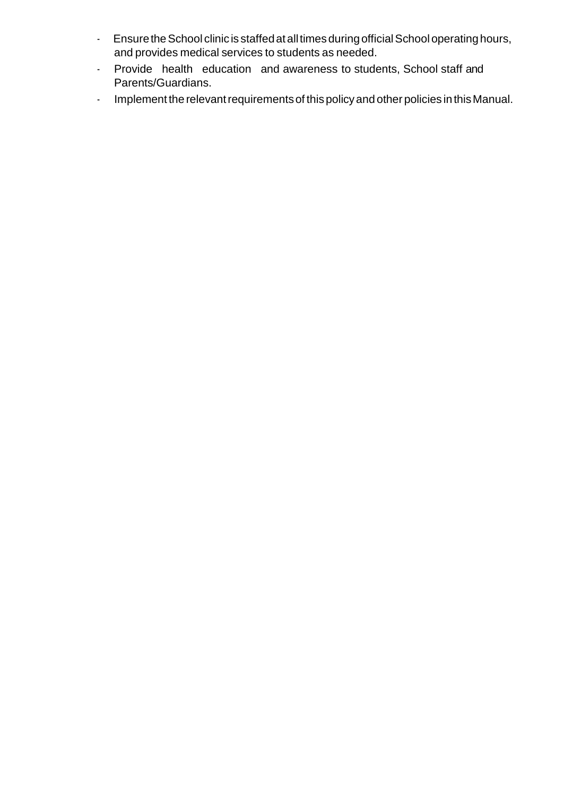- Ensure the School clinic is staffed at all times during official School operating hours, and provides medical services to students as needed.
- Provide health education and awareness to students, School staff and Parents/Guardians.
- Implement the relevant requirements of this policy and other policies in this Manual.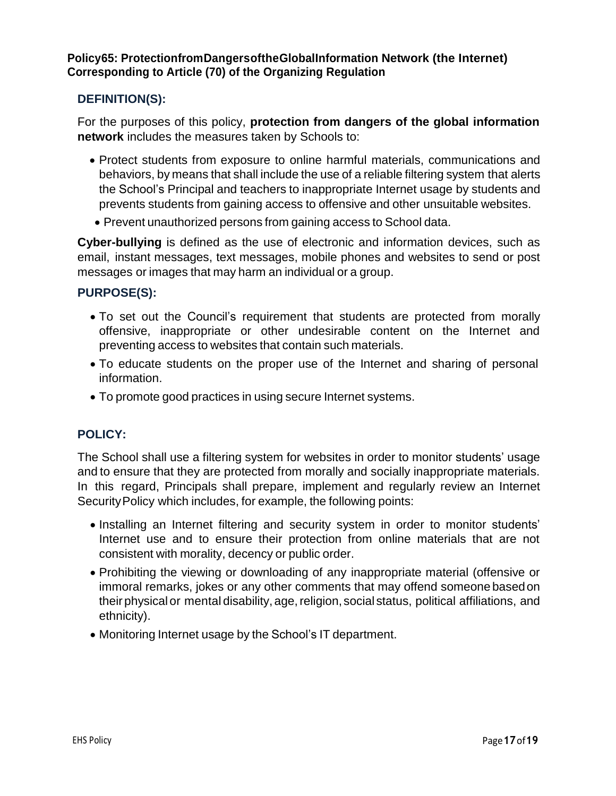## **Policy65: ProtectionfromDangersoftheGlobalInformation Network (the Internet) Corresponding to Article (70) of the Organizing Regulation**

## **DEFINITION(S):**

For the purposes of this policy, **protection from dangers of the global information network** includes the measures taken by Schools to:

- Protect students from exposure to online harmful materials, communications and behaviors, by means that shall include the use of a reliable filtering system that alerts the School's Principal and teachers to inappropriate Internet usage by students and prevents students from gaining access to offensive and other unsuitable websites.
- Prevent unauthorized persons from gaining access to School data.

**Cyber-bullying** is defined as the use of electronic and information devices, such as email, instant messages, text messages, mobile phones and websites to send or post messages or images that may harm an individual or a group.

## **PURPOSE(S):**

- To set out the Council's requirement that students are protected from morally offensive, inappropriate or other undesirable content on the Internet and preventing access to websites that contain such materials.
- To educate students on the proper use of the Internet and sharing of personal information.
- To promote good practices in using secure Internet systems.

## **POLICY:**

The School shall use a filtering system for websites in order to monitor students' usage and to ensure that they are protected from morally and socially inappropriate materials. In this regard, Principals shall prepare, implement and regularly review an Internet SecurityPolicy which includes, for example, the following points:

- Installing an Internet filtering and security system in order to monitor students' Internet use and to ensure their protection from online materials that are not consistent with morality, decency or public order.
- Prohibiting the viewing or downloading of any inappropriate material (offensive or immoral remarks, jokes or any other comments that may offend someone basedon their physical or mental disability, age, religion, social status, political affiliations, and ethnicity).
- Monitoring Internet usage by the School's IT department.